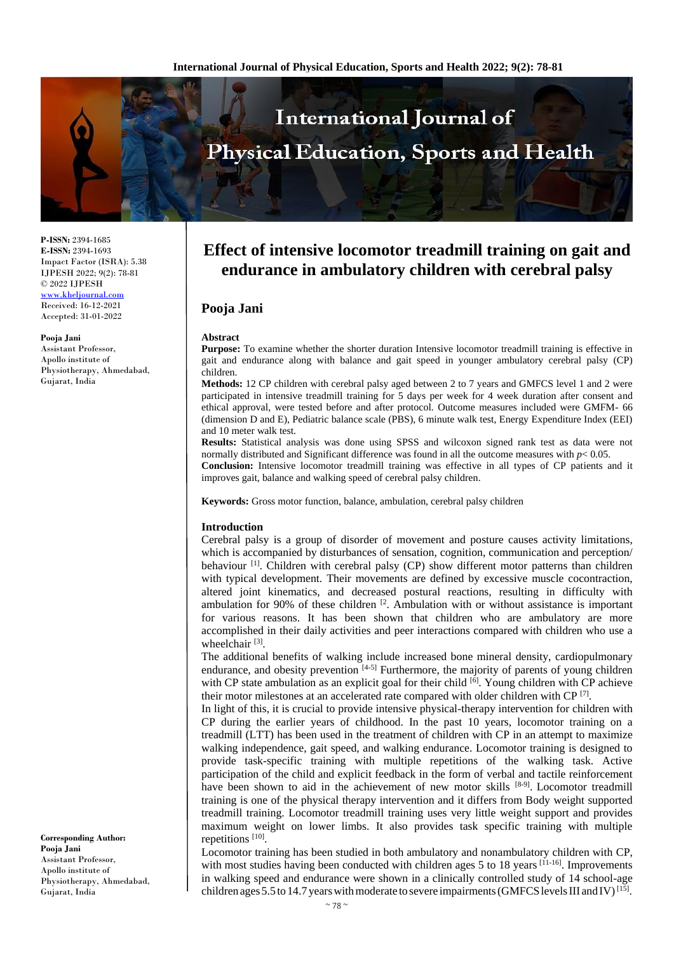

**P-ISSN:** 2394-1685 **E-ISSN:** 2394-1693 Impact Factor (ISRA): 5.38 IJPESH 2022; 9(2): 78-81 © 2022 IJPESH [www.kheljournal.com](http://www.kheljournal.com/)

Received: 16-12-2021 Accepted: 31-01-2022

#### **Pooja Jani**

Assistant Professor, Apollo institute of Physiotherapy, Ahmedabad, Gujarat, India

**Corresponding Author: Pooja Jani**  Assistant Professor, Apollo institute of Physiotherapy, Ahmedabad, Gujarat, India

# **Effect of intensive locomotor treadmill training on gait and endurance in ambulatory children with cerebral palsy**

## **Pooja Jani**

#### **Abstract**

**Purpose:** To examine whether the shorter duration Intensive locomotor treadmill training is effective in gait and endurance along with balance and gait speed in younger ambulatory cerebral palsy (CP) children.

**Methods:** 12 CP children with cerebral palsy aged between 2 to 7 years and GMFCS level 1 and 2 were participated in intensive treadmill training for 5 days per week for 4 week duration after consent and ethical approval, were tested before and after protocol. Outcome measures included were GMFM- 66 (dimension D and E), Pediatric balance scale (PBS), 6 minute walk test, Energy Expenditure Index (EEI) and 10 meter walk test.

**Results:** Statistical analysis was done using SPSS and wilcoxon signed rank test as data were not normally distributed and Significant difference was found in all the outcome measures with  $p < 0.05$ .

**Conclusion:** Intensive locomotor treadmill training was effective in all types of CP patients and it improves gait, balance and walking speed of cerebral palsy children.

**Keywords:** Gross motor function, balance, ambulation, cerebral palsy children

#### **Introduction**

Cerebral palsy is a group of disorder of movement and posture causes activity limitations, which is accompanied by disturbances of sensation, cognition, communication and perception/ behaviour  $[1]$ . Children with cerebral palsy (CP) show different motor patterns than children with typical development. Their movements are defined by excessive muscle cocontraction, altered joint kinematics, and decreased postural reactions, resulting in difficulty with ambulation for 90% of these children  $[2]$ . Ambulation with or without assistance is important for various reasons. It has been shown that children who are ambulatory are more accomplished in their daily activities and peer interactions compared with children who use a wheelchair<sup>[3]</sup>.

The additional benefits of walking include increased bone mineral density, cardiopulmonary endurance, and obesity prevention  $[4-5]$  Furthermore, the majority of parents of young children with CP state ambulation as an explicit goal for their child  $\left[6\right]$ . Young children with CP achieve their motor milestones at an accelerated rate compared with older children with CP [7].

In light of this, it is crucial to provide intensive physical-therapy intervention for children with CP during the earlier years of childhood. In the past 10 years, locomotor training on a treadmill (LTT) has been used in the treatment of children with CP in an attempt to maximize walking independence, gait speed, and walking endurance. Locomotor training is designed to provide task-specific training with multiple repetitions of the walking task. Active participation of the child and explicit feedback in the form of verbal and tactile reinforcement have been shown to aid in the achievement of new motor skills [8-9]. Locomotor treadmill training is one of the physical therapy intervention and it differs from Body weight supported treadmill training. Locomotor treadmill training uses very little weight support and provides maximum weight on lower limbs. It also provides task specific training with multiple repetitions [10].

Locomotor training has been studied in both ambulatory and nonambulatory children with CP, with most studies having been conducted with children ages 5 to 18 years [11-16]. Improvements in walking speed and endurance were shown in a clinically controlled study of 14 school-age children ages 5.5 to 14.7 years with moderate to severe impairments (GMFCS levels III and IV)<sup>[15]</sup>.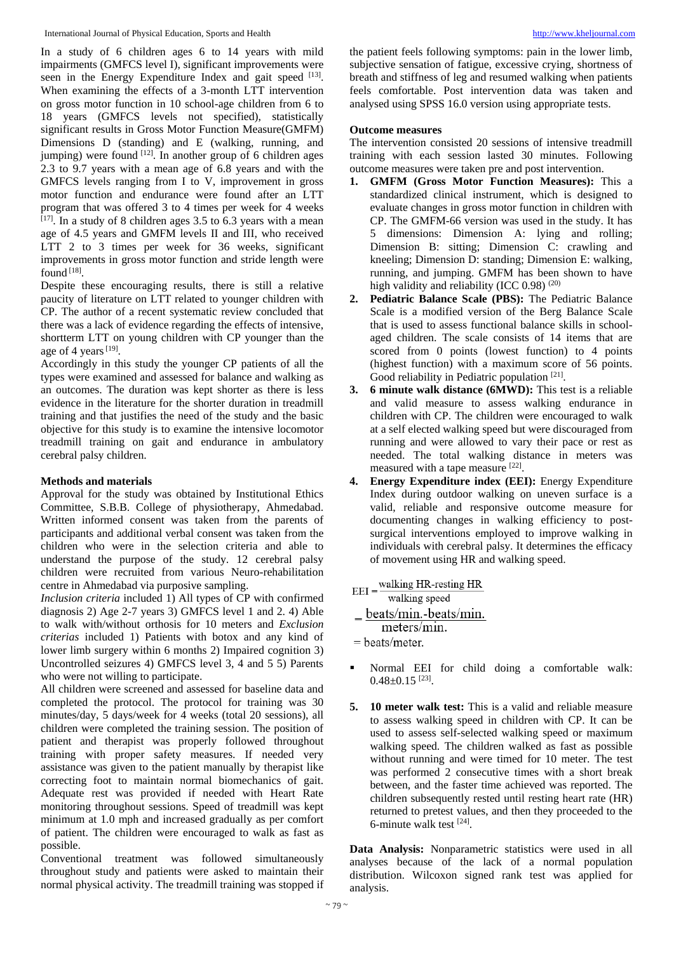In a study of 6 children ages 6 to 14 years with mild impairments (GMFCS level I), significant improvements were seen in the Energy Expenditure Index and gait speed [13]. When examining the effects of a 3-month LTT intervention on gross motor function in 10 school-age children from 6 to 18 years (GMFCS levels not specified), statistically significant results in Gross Motor Function Measure(GMFM) Dimensions D (standing) and E (walking, running, and jumping) were found  $[12]$ . In another group of 6 children ages 2.3 to 9.7 years with a mean age of  $6.8$  years and with the GMFCS levels ranging from I to V, improvement in gross motor function and endurance were found after an LTT program that was offered 3 to 4 times per week for 4 weeks  $[17]$ . In a study of 8 children ages 3.5 to 6.3 years with a mean age of 4.5 years and GMFM levels II and III, who received LTT 2 to 3 times per week for 36 weeks, significant improvements in gross motor function and stride length were found [18].

Despite these encouraging results, there is still a relative paucity of literature on LTT related to younger children with CP. The author of a recent systematic review concluded that there was a lack of evidence regarding the effects of intensive, shortterm LTT on young children with CP younger than the age of 4 years<sup>[19]</sup>.

Accordingly in this study the younger CP patients of all the types were examined and assessed for balance and walking as an outcomes. The duration was kept shorter as there is less evidence in the literature for the shorter duration in treadmill training and that justifies the need of the study and the basic objective for this study is to examine the intensive locomotor treadmill training on gait and endurance in ambulatory cerebral palsy children.

## **Methods and materials**

Approval for the study was obtained by Institutional Ethics Committee, S.B.B. College of physiotherapy, Ahmedabad. Written informed consent was taken from the parents of participants and additional verbal consent was taken from the children who were in the selection criteria and able to understand the purpose of the study. 12 cerebral palsy children were recruited from various Neuro-rehabilitation centre in Ahmedabad via purposive sampling.

*Inclusion criteria* included 1) All types of CP with confirmed diagnosis 2) Age 2-7 years 3) GMFCS level 1 and 2. 4) Able to walk with/without orthosis for 10 meters and *Exclusion criterias* included 1) Patients with botox and any kind of lower limb surgery within 6 months 2) Impaired cognition 3) Uncontrolled seizures 4) GMFCS level 3, 4 and 5 5) Parents who were not willing to participate.

All children were screened and assessed for baseline data and completed the protocol. The protocol for training was 30 minutes/day, 5 days/week for 4 weeks (total 20 sessions), all children were completed the training session. The position of patient and therapist was properly followed throughout training with proper safety measures. If needed very assistance was given to the patient manually by therapist like correcting foot to maintain normal biomechanics of gait. Adequate rest was provided if needed with Heart Rate monitoring throughout sessions. Speed of treadmill was kept minimum at 1.0 mph and increased gradually as per comfort of patient. The children were encouraged to walk as fast as possible.

Conventional treatment was followed simultaneously throughout study and patients were asked to maintain their normal physical activity. The treadmill training was stopped if

the patient feels following symptoms: pain in the lower limb, subjective sensation of fatigue, excessive crying, shortness of breath and stiffness of leg and resumed walking when patients feels comfortable. Post intervention data was taken and analysed using SPSS 16.0 version using appropriate tests.

## **Outcome measures**

The intervention consisted 20 sessions of intensive treadmill training with each session lasted 30 minutes. Following outcome measures were taken pre and post intervention.

- **1. GMFM (Gross Motor Function Measures):** This a standardized clinical instrument, which is designed to evaluate changes in gross motor function in children with CP. The GMFM-66 version was used in the study. It has 5 dimensions: Dimension A: lying and rolling; Dimension B: sitting; Dimension C: crawling and kneeling; Dimension D: standing; Dimension E: walking, running, and jumping. GMFM has been shown to have high validity and reliability (ICC 0.98)<sup>(20)</sup>
- **2. Pediatric Balance Scale (PBS):** The Pediatric Balance Scale is a modified version of the Berg Balance Scale that is used to assess functional balance skills in schoolaged children. The scale consists of 14 items that are scored from 0 points (lowest function) to 4 points (highest function) with a maximum score of 56 points. Good reliability in Pediatric population [21].
- **3. 6 minute walk distance (6MWD):** This test is a reliable and valid measure to assess walking endurance in children with CP. The children were encouraged to walk at a self elected walking speed but were discouraged from running and were allowed to vary their pace or rest as needed. The total walking distance in meters was measured with a tape measure [22] .
- **4. Energy Expenditure index (EEI):** Energy Expenditure Index during outdoor walking on uneven surface is a valid, reliable and responsive outcome measure for documenting changes in walking efficiency to postsurgical interventions employed to improve walking in individuals with cerebral palsy. It determines the efficacy of movement using HR and walking speed.

 $EEI = \frac{\text{walking HR} - \text{resting HR}}{\text{mulling speed}}$ walking speed  $=$  beats/min.-beats/min. meters/min.

 $=$  beats/meter.

- Normal EEI for child doing a comfortable walk:  $0.48 \pm 0.15$ <sup>[23]</sup>.
- **5. 10 meter walk test:** This is a valid and reliable measure to assess walking speed in children with CP. It can be used to assess self-selected walking speed or maximum walking speed. The children walked as fast as possible without running and were timed for 10 meter. The test was performed 2 consecutive times with a short break between, and the faster time achieved was reported. The children subsequently rested until resting heart rate (HR) returned to pretest values, and then they proceeded to the 6-minute walk test [24] .

**Data Analysis:** Nonparametric statistics were used in all analyses because of the lack of a normal population distribution. Wilcoxon signed rank test was applied for analysis.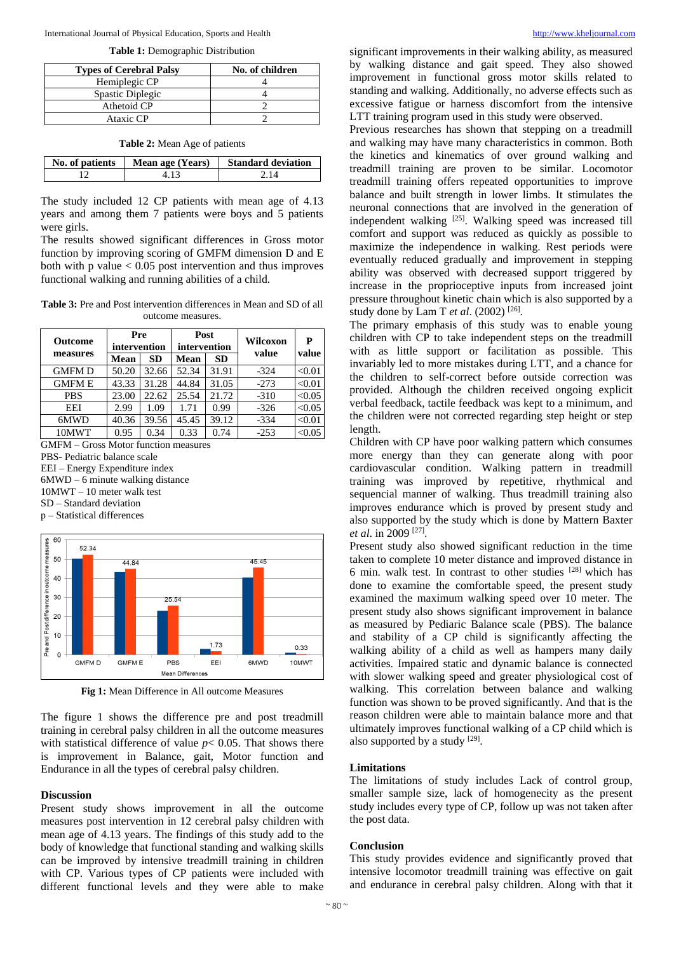International Journal of Physical Education, Sports and Health [http://www.kheljournal.com](http://www.kheljournal.com/)

**Table 1:** Demographic Distribution

| <b>Types of Cerebral Palsy</b> | No. of children |
|--------------------------------|-----------------|
| Hemiplegic CP                  |                 |
| Spastic Diplegic               |                 |
| Athetoid CP                    |                 |
| Ataxic CP                      |                 |

|  |  | Table 2: Mean Age of patients |
|--|--|-------------------------------|
|--|--|-------------------------------|

| No. of patients $\parallel$ | Mean age (Years) Standard deviation |
|-----------------------------|-------------------------------------|
|                             |                                     |

The study included 12 CP patients with mean age of 4.13 years and among them 7 patients were boys and 5 patients were girls.

The results showed significant differences in Gross motor function by improving scoring of GMFM dimension D and E both with  $p$  value  $< 0.05$  post intervention and thus improves functional walking and running abilities of a child.

**Table 3:** Pre and Post intervention differences in Mean and SD of all outcome measures.

| <b>Outcome</b> | Pre<br>intervention |           | Post<br>intervention |       | Wilcoxon | P      |
|----------------|---------------------|-----------|----------------------|-------|----------|--------|
| measures       | Mean                | <b>SD</b> | Mean                 | SD    | value    | value  |
| <b>GMFMD</b>   | 50.20               | 32.66     | 52.34                | 31.91 | $-324$   | < 0.01 |
| <b>GMFME</b>   | 43.33               | 31.28     | 44.84                | 31.05 | $-273$   | < 0.01 |
| <b>PBS</b>     | 23.00               | 22.62     | 25.54                | 21.72 | $-310$   | < 0.05 |
| EEI            | 2.99                | 1.09      | 1.71                 | 0.99  | $-326$   | < 0.05 |
| 6MWD           | 40.36               | 39.56     | 45.45                | 39.12 | $-334$   | < 0.01 |
| 10MWT          | 0.95                | 0.34      | 0.33                 | 0.74  | $-253$   | < 0.05 |

GMFM – Gross Motor function measures

PBS- Pediatric balance scale

EEI – Energy Expenditure index

6MWD – 6 minute walking distance

10MWT – 10 meter walk test

SD – Standard deviation

p – Statistical differences



**Fig 1:** Mean Difference in All outcome Measures

The figure 1 shows the difference pre and post treadmill training in cerebral palsy children in all the outcome measures with statistical difference of value  $p < 0.05$ . That shows there is improvement in Balance, gait, Motor function and Endurance in all the types of cerebral palsy children.

#### **Discussion**

Present study shows improvement in all the outcome measures post intervention in 12 cerebral palsy children with mean age of 4.13 years. The findings of this study add to the body of knowledge that functional standing and walking skills can be improved by intensive treadmill training in children with CP. Various types of CP patients were included with different functional levels and they were able to make

significant improvements in their walking ability, as measured by walking distance and gait speed. They also showed improvement in functional gross motor skills related to standing and walking. Additionally, no adverse effects such as excessive fatigue or harness discomfort from the intensive LTT training program used in this study were observed.

Previous researches has shown that stepping on a treadmill and walking may have many characteristics in common. Both the kinetics and kinematics of over ground walking and treadmill training are proven to be similar. Locomotor treadmill training offers repeated opportunities to improve balance and built strength in lower limbs. It stimulates the neuronal connections that are involved in the generation of independent walking [25]. Walking speed was increased till comfort and support was reduced as quickly as possible to maximize the independence in walking. Rest periods were eventually reduced gradually and improvement in stepping ability was observed with decreased support triggered by increase in the proprioceptive inputs from increased joint pressure throughout kinetic chain which is also supported by a study done by Lam T et al. (2002)<sup>[26]</sup>.

The primary emphasis of this study was to enable young children with CP to take independent steps on the treadmill with as little support or facilitation as possible. This invariably led to more mistakes during LTT, and a chance for the children to self-correct before outside correction was provided. Although the children received ongoing explicit verbal feedback, tactile feedback was kept to a minimum, and the children were not corrected regarding step height or step length.

Children with CP have poor walking pattern which consumes more energy than they can generate along with poor cardiovascular condition. Walking pattern in treadmill training was improved by repetitive, rhythmical and sequencial manner of walking. Thus treadmill training also improves endurance which is proved by present study and also supported by the study which is done by Mattern Baxter *et al*. in 2009 [27] .

Present study also showed significant reduction in the time taken to complete 10 meter distance and improved distance in 6 min. walk test. In contrast to other studies [28] which has done to examine the comfortable speed, the present study examined the maximum walking speed over 10 meter. The present study also shows significant improvement in balance as measured by Pediaric Balance scale (PBS). The balance and stability of a CP child is significantly affecting the walking ability of a child as well as hampers many daily activities. Impaired static and dynamic balance is connected with slower walking speed and greater physiological cost of walking. This correlation between balance and walking function was shown to be proved significantly. And that is the reason children were able to maintain balance more and that ultimately improves functional walking of a CP child which is also supported by a study [29].

#### **Limitations**

The limitations of study includes Lack of control group, smaller sample size, lack of homogenecity as the present study includes every type of CP, follow up was not taken after the post data.

#### **Conclusion**

This study provides evidence and significantly proved that intensive locomotor treadmill training was effective on gait and endurance in cerebral palsy children. Along with that it